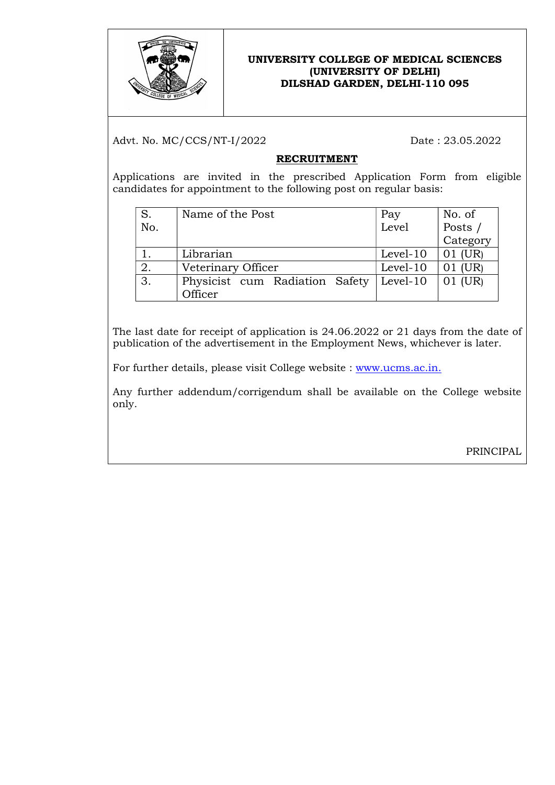

## UNIVERSITY COLLEGE OF MEDICAL SCIENCES (UNIVERSITY OF DELHI) DILSHAD GARDEN, DELHI-110 095

Advt. No. MC/CCS/NT-I/2022 Date: 23.05.2022

# RECRUITMENT

Applications are invited in the prescribed Application Form from eligible candidates for appointment to the following post on regular basis:

| S.  | Name of the Post               | Pay      | No. of   |
|-----|--------------------------------|----------|----------|
| No. |                                | Level    | Posts /  |
|     |                                |          | Category |
|     | Librarian                      | Level-10 | 01 (UR)  |
| 2.  | Veterinary Officer             | Level-10 | 01 (UR)  |
| 3.  | Physicist cum Radiation Safety | Level-10 | 01 (UR)  |
|     | Officer                        |          |          |

The last date for receipt of application is 24.06.2022 or 21 days from the date of publication of the advertisement in the Employment News, whichever is later.

For further details, please visit College website : www.ucms.ac.in.

Any further addendum/corrigendum shall be available on the College website only.

PRINCIPAL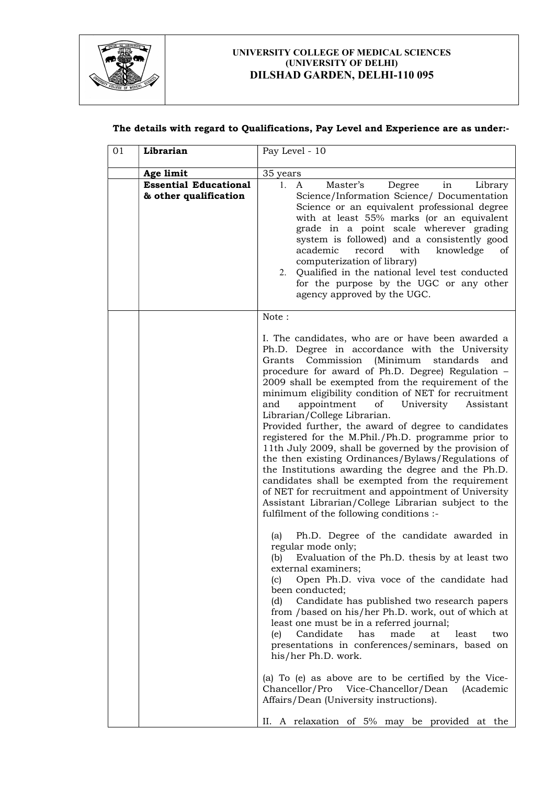

#### UNIVERSITY COLLEGE OF MEDICAL SCIENCES (UNIVERSITY OF DELHI) DILSHAD GARDEN, DELHI-110 095

### The details with regard to Qualifications, Pay Level and Experience are as under:-

| 01 | Librarian                                             | Pay Level - 10                                                                                                                                                                                                                                                                                                                                                                                                                                                                                                                                                                                                                                                                                                                                                                                                                                                                                                                                                                                                                                                                                                                                                                                                                                                                                                                                                                                                                                                                                                                                                                                                                                                                  |
|----|-------------------------------------------------------|---------------------------------------------------------------------------------------------------------------------------------------------------------------------------------------------------------------------------------------------------------------------------------------------------------------------------------------------------------------------------------------------------------------------------------------------------------------------------------------------------------------------------------------------------------------------------------------------------------------------------------------------------------------------------------------------------------------------------------------------------------------------------------------------------------------------------------------------------------------------------------------------------------------------------------------------------------------------------------------------------------------------------------------------------------------------------------------------------------------------------------------------------------------------------------------------------------------------------------------------------------------------------------------------------------------------------------------------------------------------------------------------------------------------------------------------------------------------------------------------------------------------------------------------------------------------------------------------------------------------------------------------------------------------------------|
|    | Age limit                                             | 35 years                                                                                                                                                                                                                                                                                                                                                                                                                                                                                                                                                                                                                                                                                                                                                                                                                                                                                                                                                                                                                                                                                                                                                                                                                                                                                                                                                                                                                                                                                                                                                                                                                                                                        |
|    | <b>Essential Educational</b><br>& other qualification | Master's<br>Degree<br>1.<br>in<br>Library<br>A<br>Science/Information Science/ Documentation<br>Science or an equivalent professional degree<br>with at least 55% marks (or an equivalent<br>grade in a point scale wherever grading<br>system is followed) and a consistently good<br>academic<br>record<br>with<br>knowledge<br>οf<br>computerization of library)<br>2. Qualified in the national level test conducted<br>for the purpose by the UGC or any other<br>agency approved by the UGC.                                                                                                                                                                                                                                                                                                                                                                                                                                                                                                                                                                                                                                                                                                                                                                                                                                                                                                                                                                                                                                                                                                                                                                              |
|    |                                                       | Note:<br>I. The candidates, who are or have been awarded a<br>Ph.D. Degree in accordance with the University<br>Commission (Minimum<br>standards<br>Grants<br>and<br>procedure for award of Ph.D. Degree) Regulation -<br>2009 shall be exempted from the requirement of the<br>minimum eligibility condition of NET for recruitment<br>appointment<br>University<br>and<br>of<br>Assistant<br>Librarian/College Librarian.<br>Provided further, the award of degree to candidates<br>registered for the M.Phil./Ph.D. programme prior to<br>11th July 2009, shall be governed by the provision of<br>the then existing Ordinances/Bylaws/Regulations of<br>the Institutions awarding the degree and the Ph.D.<br>candidates shall be exempted from the requirement<br>of NET for recruitment and appointment of University<br>Assistant Librarian/College Librarian subject to the<br>fulfilment of the following conditions :-<br>Ph.D. Degree of the candidate awarded in<br>(a)<br>regular mode only;<br>(b)<br>Evaluation of the Ph.D. thesis by at least two<br>external examiners;<br>Open Ph.D. viva voce of the candidate had<br>(c)<br>been conducted;<br>Candidate has published two research papers<br>(d)<br>from /based on his/her Ph.D. work, out of which at<br>least one must be in a referred journal;<br>Candidate<br>has<br>made<br>at<br>least<br>(e)<br>two<br>presentations in conferences/seminars, based on<br>his/her Ph.D. work.<br>(a) To (e) as above are to be certified by the Vice-<br>Vice-Chancellor/Dean<br>Chancellor/Pro<br><i>(Academic</i> )<br>Affairs/Dean (University instructions).<br>II. A relaxation of 5% may be provided at the |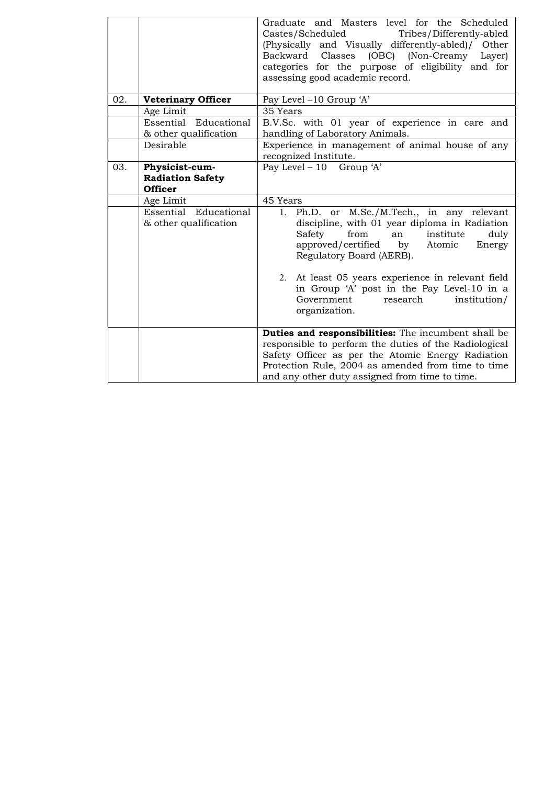|     |                                                   | Graduate and Masters level for the Scheduled<br>Castes/Scheduled<br>Tribes/Differently-abled<br>(Physically and Visually differently-abled)/ Other<br>Backward<br>Classes<br>(OBC) (Non-Creamy<br>Layer)<br>categories for the purpose of eligibility and for<br>assessing good academic record.                                                                                   |  |
|-----|---------------------------------------------------|------------------------------------------------------------------------------------------------------------------------------------------------------------------------------------------------------------------------------------------------------------------------------------------------------------------------------------------------------------------------------------|--|
| 02. | <b>Veterinary Officer</b>                         | Pay Level -10 Group 'A'                                                                                                                                                                                                                                                                                                                                                            |  |
|     | Age Limit                                         | 35 Years                                                                                                                                                                                                                                                                                                                                                                           |  |
|     | Essential Educational<br>& other qualification    | B.V.Sc. with 01 year of experience in care and<br>handling of Laboratory Animals.                                                                                                                                                                                                                                                                                                  |  |
|     | Desirable                                         | Experience in management of animal house of any<br>recognized Institute.                                                                                                                                                                                                                                                                                                           |  |
| 03. | Physicist-cum-                                    | Pay Level - $10$ Group 'A'                                                                                                                                                                                                                                                                                                                                                         |  |
|     | <b>Radiation Safety</b>                           |                                                                                                                                                                                                                                                                                                                                                                                    |  |
|     | <b>Officer</b>                                    |                                                                                                                                                                                                                                                                                                                                                                                    |  |
|     | Age Limit                                         | 45 Years                                                                                                                                                                                                                                                                                                                                                                           |  |
|     | Essential<br>Educational<br>& other qualification | Ph.D. or M.Sc./M.Tech., in any relevant<br>1.<br>discipline, with 01 year diploma in Radiation<br>Safety<br>from<br>institute<br>an<br>duly<br>approved/certified by<br>Atomic<br>Energy<br>Regulatory Board (AERB).<br>2. At least 05 years experience in relevant field<br>in Group 'A' post in the Pay Level-10 in a<br>Government<br>research<br>institution/<br>organization. |  |
|     |                                                   | Duties and responsibilities: The incumbent shall be<br>responsible to perform the duties of the Radiological<br>Safety Officer as per the Atomic Energy Radiation<br>Protection Rule, 2004 as amended from time to time<br>and any other duty assigned from time to time.                                                                                                          |  |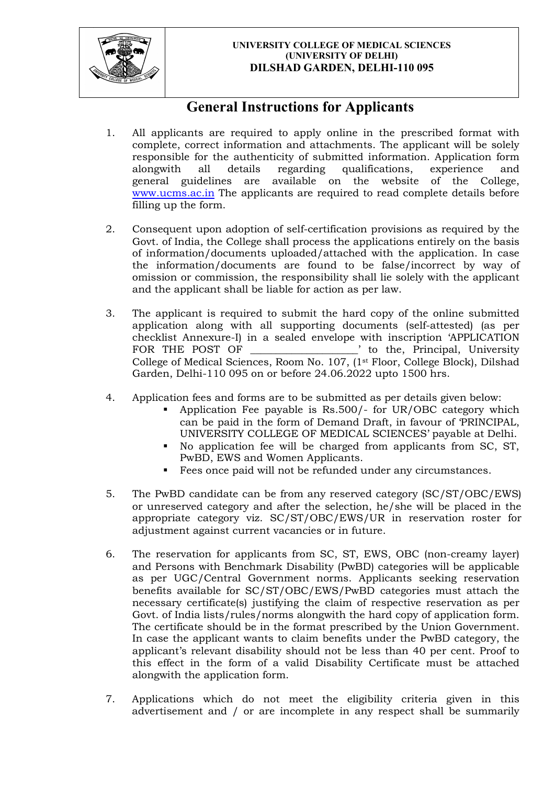

#### UNIVERSITY COLLEGE OF MEDICAL SCIENCES (UNIVERSITY OF DELHI) DILSHAD GARDEN, DELHI-110 095

# General Instructions for Applicants

- 1. All applicants are required to apply online in the prescribed format with complete, correct information and attachments. The applicant will be solely responsible for the authenticity of submitted information. Application form alongwith all details regarding qualifications, experience and general guidelines are available on the website of the College, www.ucms.ac.in The applicants are required to read complete details before filling up the form.
- 2. Consequent upon adoption of self-certification provisions as required by the Govt. of India, the College shall process the applications entirely on the basis of information/documents uploaded/attached with the application. In case the information/documents are found to be false/incorrect by way of omission or commission, the responsibility shall lie solely with the applicant and the applicant shall be liable for action as per law.
- 3. The applicant is required to submit the hard copy of the online submitted application along with all supporting documents (self-attested) (as per checklist Annexure-I) in a sealed envelope with inscription 'APPLICATION FOR THE POST OF TO THE POST OF TO THE POST OF TO THE SET OF THE SET OF THE SET OF THE SET OF THE SET OF THE SET OF THE SET OF THE SET OF THE SET OF THE SET OF THE SET OF THE SET OF THE SET OF THE SET OF THE SET OF THE SET College of Medical Sciences, Room No. 107, (1st Floor, College Block), Dilshad Garden, Delhi-110 095 on or before 24.06.2022 upto 1500 hrs.
- 4. Application fees and forms are to be submitted as per details given below:
	- Application Fee payable is Rs.500/- for UR/OBC category which can be paid in the form of Demand Draft, in favour of 'PRINCIPAL, UNIVERSITY COLLEGE OF MEDICAL SCIENCES' payable at Delhi.
	- No application fee will be charged from applicants from SC, ST, PwBD, EWS and Women Applicants.
	- Fees once paid will not be refunded under any circumstances.
- 5. The PwBD candidate can be from any reserved category (SC/ST/OBC/EWS) or unreserved category and after the selection, he/she will be placed in the appropriate category viz. SC/ST/OBC/EWS/UR in reservation roster for adjustment against current vacancies or in future.
- 6. The reservation for applicants from SC, ST, EWS, OBC (non-creamy layer) and Persons with Benchmark Disability (PwBD) categories will be applicable as per UGC/Central Government norms. Applicants seeking reservation benefits available for SC/ST/OBC/EWS/PwBD categories must attach the necessary certificate(s) justifying the claim of respective reservation as per Govt. of India lists/rules/norms alongwith the hard copy of application form. The certificate should be in the format prescribed by the Union Government. In case the applicant wants to claim benefits under the PwBD category, the applicant's relevant disability should not be less than 40 per cent. Proof to this effect in the form of a valid Disability Certificate must be attached alongwith the application form.
- 7. Applications which do not meet the eligibility criteria given in this advertisement and / or are incomplete in any respect shall be summarily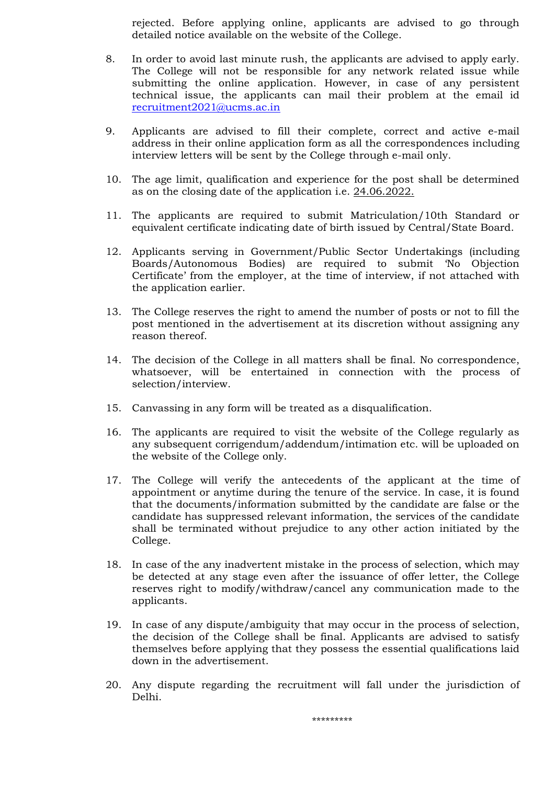rejected. Before applying online, applicants are advised to go through detailed notice available on the website of the College.

- 8. In order to avoid last minute rush, the applicants are advised to apply early. The College will not be responsible for any network related issue while submitting the online application. However, in case of any persistent technical issue, the applicants can mail their problem at the email id recruitment2021@ucms.ac.in
- 9. Applicants are advised to fill their complete, correct and active e-mail address in their online application form as all the correspondences including interview letters will be sent by the College through e-mail only.
- 10. The age limit, qualification and experience for the post shall be determined as on the closing date of the application i.e. 24.06.2022.
- 11. The applicants are required to submit Matriculation/10th Standard or equivalent certificate indicating date of birth issued by Central/State Board.
- 12. Applicants serving in Government/Public Sector Undertakings (including Boards/Autonomous Bodies) are required to submit 'No Objection Certificate' from the employer, at the time of interview, if not attached with the application earlier.
- 13. The College reserves the right to amend the number of posts or not to fill the post mentioned in the advertisement at its discretion without assigning any reason thereof.
- 14. The decision of the College in all matters shall be final. No correspondence, whatsoever, will be entertained in connection with the process of selection/interview.
- 15. Canvassing in any form will be treated as a disqualification.
- 16. The applicants are required to visit the website of the College regularly as any subsequent corrigendum/addendum/intimation etc. will be uploaded on the website of the College only.
- 17. The College will verify the antecedents of the applicant at the time of appointment or anytime during the tenure of the service. In case, it is found that the documents/information submitted by the candidate are false or the candidate has suppressed relevant information, the services of the candidate shall be terminated without prejudice to any other action initiated by the College.
- 18. In case of the any inadvertent mistake in the process of selection, which may be detected at any stage even after the issuance of offer letter, the College reserves right to modify/withdraw/cancel any communication made to the applicants.
- 19. In case of any dispute/ambiguity that may occur in the process of selection, the decision of the College shall be final. Applicants are advised to satisfy themselves before applying that they possess the essential qualifications laid down in the advertisement.
- 20. Any dispute regarding the recruitment will fall under the jurisdiction of Delhi.